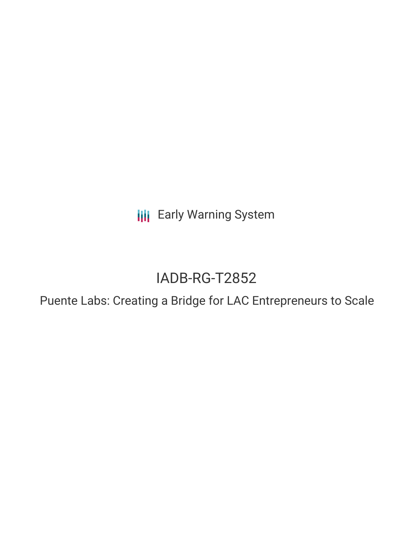**III** Early Warning System

# IADB-RG-T2852

Puente Labs: Creating a Bridge for LAC Entrepreneurs to Scale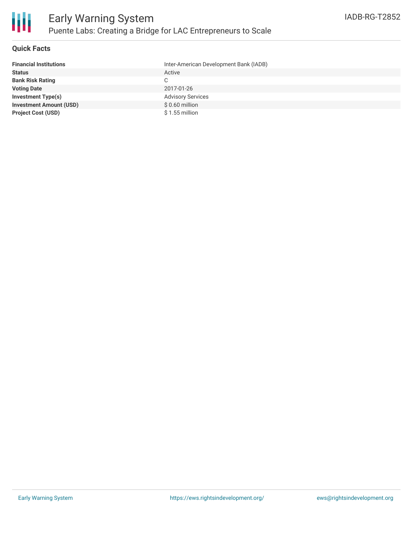

#### **Quick Facts**

| <b>Financial Institutions</b>  | Inter-American Development Bank (IADB) |
|--------------------------------|----------------------------------------|
| <b>Status</b>                  | Active                                 |
| <b>Bank Risk Rating</b>        | C.                                     |
| <b>Voting Date</b>             | 2017-01-26                             |
| <b>Investment Type(s)</b>      | <b>Advisory Services</b>               |
| <b>Investment Amount (USD)</b> | $$0.60$ million                        |
| <b>Project Cost (USD)</b>      | $$1.55$ million                        |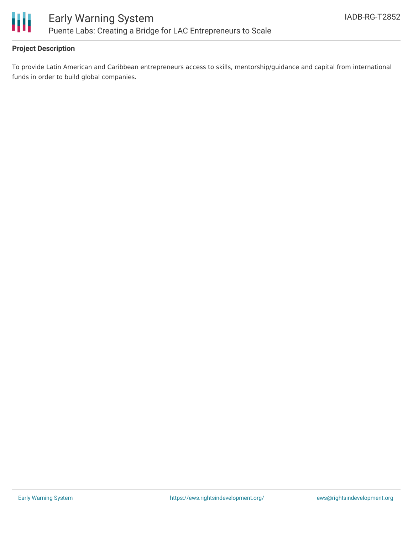

# **Project Description**

To provide Latin American and Caribbean entrepreneurs access to skills, mentorship/guidance and capital from international funds in order to build global companies.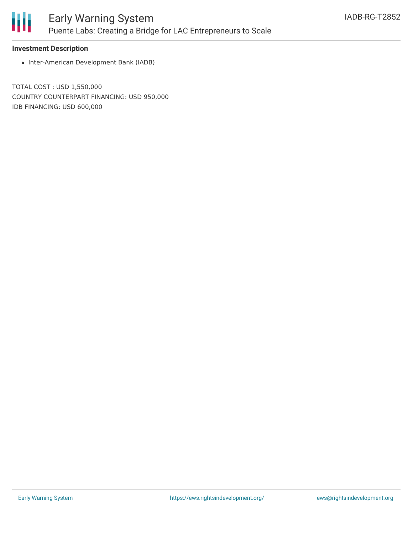

## **Investment Description**

• Inter-American Development Bank (IADB)

TOTAL COST : USD 1,550,000 COUNTRY COUNTERPART FINANCING: USD 950,000 IDB FINANCING: USD 600,000